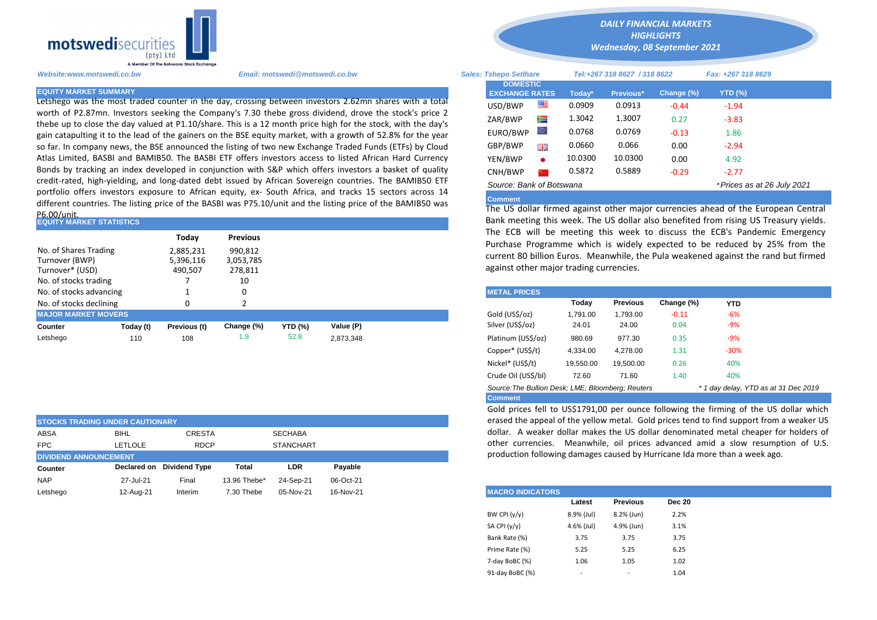

Letshego was the most traded counter in the day, crossing between investors 2.62mn shares with a total worth of P2.87mn. Investors seeking the Company's 7.30 thebe gross dividend, drove the stock's price 2 thebe up to close the day valued at P1.10/share. This is a 12 month price high for the stock, with the day's gain catapulting it to the lead of the gainers on the BSE equity market, with a growth of 52.8% for the year so far. In company news, the BSE announced the listing of two new Exchange Traded Funds (ETFs) by Cloud Atlas Limited, BASBI and BAMIB50. The BASBI ETF offers investors access to listed African Hard Currency Bonds by tracking an index developed in conjunction with S&P which offers investors a basket of quality credit-rated, high-yielding, and long-dated debt issued by African Sovereign countries. The BAMIB50 ETF portfolio offers investors exposure to African equity, ex- South Africa, and tracks 15 sectors across 14 different countries. The listing price of the BASBI was P75.10/unit and the listing price of the BAMIB50 was P6.00/unit.

| <b>EQUITY MARKET STATISTICS</b>                                                     |           |                                   |                                       |                | Bank meeting this week. The US dollar also benefited from rising US |  |                                                                                                                                                                               |          |                 |            |            |  |  |  |
|-------------------------------------------------------------------------------------|-----------|-----------------------------------|---------------------------------------|----------------|---------------------------------------------------------------------|--|-------------------------------------------------------------------------------------------------------------------------------------------------------------------------------|----------|-----------------|------------|------------|--|--|--|
|                                                                                     |           | Today                             | <b>Previous</b>                       |                |                                                                     |  | The ECB will be meeting this week to discuss the ECB's Pander                                                                                                                 |          |                 |            |            |  |  |  |
| No. of Shares Trading<br>Turnover (BWP)<br>Turnover* (USD)<br>No. of stocks trading |           | 2,885,231<br>5,396,116<br>490,507 | 990,812<br>3,053,785<br>278,811<br>10 |                |                                                                     |  | Purchase Programme which is widely expected to be reduced by<br>current 80 billion Euros. Meanwhile, the Pula weakened against the<br>against other major trading currencies. |          |                 |            |            |  |  |  |
| No. of stocks advancing                                                             |           |                                   | 0                                     |                |                                                                     |  | <b>METAL PRICES</b>                                                                                                                                                           |          |                 |            |            |  |  |  |
| No. of stocks declining                                                             |           | 0                                 |                                       |                |                                                                     |  |                                                                                                                                                                               | Today    | <b>Previous</b> | Change (%) | <b>YTD</b> |  |  |  |
| <b>MAJOR MARKET MOVERS</b>                                                          |           |                                   |                                       |                |                                                                     |  | Gold (US\$/oz)                                                                                                                                                                | 1.791.00 | 1,793.00        | $-0.11$    | $-6%$      |  |  |  |
| <b>Counter</b>                                                                      | Today (t) | Previous (t)                      | Change (%)                            | <b>YTD (%)</b> | Value (P)                                                           |  | Silver (US\$/oz)                                                                                                                                                              | 24.01    | 24.00           | 0.04       | $-9%$      |  |  |  |
| Letshego                                                                            | 110       | 108                               | 1.9                                   | 52.8           | 2,873,348                                                           |  | Platinum (US\$/oz)                                                                                                                                                            | 980.69   | 977.30          | 0.35       | $-9%$      |  |  |  |

| <b>STOCKS TRADING UNDER CAUTIONARY</b> |             |                           |              |                  |           | erased the appeal of |
|----------------------------------------|-------------|---------------------------|--------------|------------------|-----------|----------------------|
| ABSA                                   | <b>BIHL</b> | <b>CRESTA</b>             |              | <b>SECHABA</b>   |           | dollar. A weaker o   |
| <b>FPC</b>                             | LETLOLE     | <b>RDCP</b>               |              | <b>STANCHART</b> |           | other currencies.    |
| <b>DIVIDEND ANNOUNCEMENT</b>           |             |                           |              |                  |           | production followir  |
| <b>Counter</b>                         |             | Declared on Dividend Type | Total        | LDR              | Pavable   |                      |
|                                        |             |                           |              |                  |           |                      |
| <b>NAP</b>                             | 27-Jul-21   | Final                     | 13.96 Thebe* | 24-Sep-21        | 06-Oct-21 |                      |

*DAILY FINANCIAL MARKETS HIGHLIGHTS*

*Wednesday, 08 September 2021* 

| A Member Of The Botswana Stock Exchange |                                                                                                                                                                                                                        |                                          |                              |         |                  |            |                            |  |
|-----------------------------------------|------------------------------------------------------------------------------------------------------------------------------------------------------------------------------------------------------------------------|------------------------------------------|------------------------------|---------|------------------|------------|----------------------------|--|
| Website:www.motswedi.co.bw              | Email: motswedi@motswedi.co.bw                                                                                                                                                                                         | <b>Sales: Tshepo Setlhare</b>            | Tel:+267 318 8627 / 318 8622 |         |                  |            | Fax: +267 318 8629         |  |
| <b>EQUITY MARKET SUMMARY</b>            |                                                                                                                                                                                                                        | <b>DOMESTIC</b><br><b>EXCHANGE RATES</b> |                              | Todav*  | <b>Previous*</b> | Change (%) | <b>YTD (%)</b>             |  |
|                                         | Letshego was the most traded counter in the day, crossing between investors 2.62mn shares with a total                                                                                                                 | USD/BWP                                  |                              | 0.0909  | 0.0913           | $-0.44$    | $-1.94$                    |  |
|                                         | worth of P2.87mn. Investors seeking the Company's 7.30 thebe gross dividend, drove the stock's price 2<br>thebe up to close the day valued at P1.10/share. This is a 12 month price high for the stock, with the day's | ZAR/BWP                                  | ≋                            | 1.3042  | 1.3007           | 0.27       | $-3.83$                    |  |
|                                         | gain catapulting it to the lead of the gainers on the BSE equity market, with a growth of 52.8% for the year                                                                                                           | EURO/BWP                                 | w                            | 0.0768  | 0.0769           | $-0.13$    | 1.86                       |  |
|                                         | so far. In company news, the BSE announced the listing of two new Exchange Traded Funds (ETFs) by Cloud                                                                                                                | GBP/BWP                                  | 곡종                           | 0.0660  | 0.066            | 0.00       | $-2.94$                    |  |
|                                         | Atlas Limited, BASBI and BAMIB50. The BASBI ETF offers investors access to listed African Hard Currency                                                                                                                | YEN/BWP                                  | $\bullet$                    | 10.0300 | 10.0300          | 0.00       | 4.92                       |  |
|                                         | Bonds by tracking an index developed in conjunction with S&P which offers investors a basket of quality                                                                                                                | CNH/BWP                                  |                              | 0.5872  | 0.5889           | $-0.29$    | $-2.77$                    |  |
|                                         | credit-rated, high-yielding, and long-dated debt issued by African Sovereign countries. The BAMIB50 ETF<br>nortfolio offers investors exposure to African equity ex- South Africa, and tracks 15 sectors across 14     | Source: Bank of Botswana                 |                              |         |                  |            | *Prices as at 26 July 2021 |  |

## **Comment**

The US dollar firmed against other major currencies ahead of the European Central Bank meeting this week. The US dollar also benefited from rising US Treasury yields. The ECB will be meeting this week to discuss the ECB's Pandemic Emergency Purchase Programme which is widely expected to be reduced by 25% from the current 80 billion Euros. Meanwhile, the Pula weakened against the rand but firmed against other major trading currencies.

| <b>METAL PRICES</b>                               |           |                 |            |                                      |  |
|---------------------------------------------------|-----------|-----------------|------------|--------------------------------------|--|
|                                                   | Today     | <b>Previous</b> | Change (%) | <b>YTD</b>                           |  |
| Gold (US\$/oz)                                    | 1.791.00  | 1.793.00        | $-0.11$    | $-6%$                                |  |
| Silver (US\$/oz)                                  | 24.01     | 24.00           | 0.04       | $-9%$                                |  |
| Platinum (US\$/oz)                                | 980.69    | 977.30          | 0.35       | $-9%$                                |  |
| Copper* (US\$/t)                                  | 4.334.00  | 4.278.00        | 1.31       | $-30%$                               |  |
| Nickel* (US\$/t)                                  | 19.550.00 | 19.500.00       | 0.26       | 40%                                  |  |
| Crude Oil (US\$/bl)                               | 72.60     | 71.60           | 1.40       | 40%                                  |  |
| Source: The Bullion Desk: LME: Bloomberg: Reuters |           |                 |            | * 1 day delay, YTD as at 31 Dec 2019 |  |
| <b>Comment</b>                                    |           |                 |            |                                      |  |

Gold prices fell to US\$1791,00 per ounce following the firming of the US dollar which erased the appeal of the yellow metal. Gold prices tend to find support from a weaker US dollar. A weaker dollar makes the US dollar denominated metal cheaper for holders of other currencies. Meanwhile, oil prices advanced amid a slow resumption of U.S. production following damages caused by Hurricane Ida more than a week ago.

| <b>MACRO INDICATORS</b> |            |                          |               |
|-------------------------|------------|--------------------------|---------------|
|                         | Latest     | <b>Previous</b>          | <b>Dec 20</b> |
| BW CPI $(y/y)$          | 8.9% (Jul) | 8.2% (Jun)               | 2.2%          |
| SA CPI $(y/y)$          | 4.6% (Jul) | 4.9% (Jun)               | 3.1%          |
| Bank Rate (%)           | 3.75       | 3.75                     | 3.75          |
| Prime Rate (%)          | 5.25       | 5.25                     | 6.25          |
| 7-day BoBC (%)          | 1.06       | 1.05                     | 1.02          |
| 91-day BoBC (%)         | -          | $\overline{\phantom{a}}$ | 1.04          |